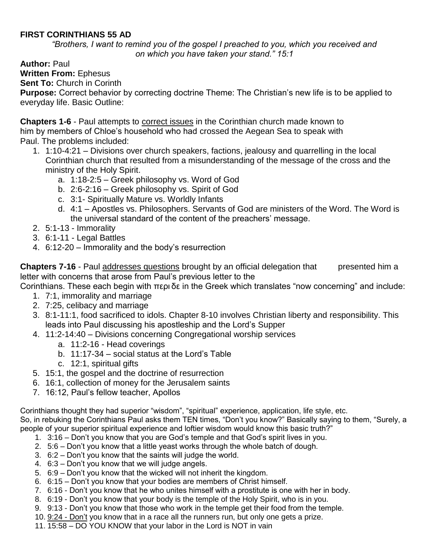## **FIRST CORINTHIANS 55 AD**

*"Brothers, I want to remind you of the gospel I preached to you, which you received and on which you have taken your stand." 15:1*

**Author:** Paul

**Written From:** Ephesus

**Sent To:** Church in Corinth

**Purpose:** Correct behavior by correcting doctrine Theme: The Christian's new life is to be applied to everyday life. Basic Outline:

**Chapters 1-6** - Paul attempts to **correct issues** in the Corinthian church made known to him by members of Chloe's household who had crossed the Aegean Sea to speak with Paul. The problems included:

- 1. 1:10-4:21 Divisions over church speakers, factions, jealousy and quarrelling in the local Corinthian church that resulted from a misunderstanding of the message of the cross and the ministry of the Holy Spirit.
	- a. 1:18-2:5 Greek philosophy vs. Word of God
	- b. 2:6-2:16 Greek philosophy vs. Spirit of God
	- c. 3:1- Spiritually Mature vs. Worldly Infants
	- d. 4:1 Apostles vs. Philosophers. Servants of God are ministers of the Word. The Word is the universal standard of the content of the preachers' message.
- 2. 5:1-13 Immorality
- 3. 6:1-11 Legal Battles
- 4. 6:12-20 Immorality and the body's resurrection

**Chapters 7-16** - Paul addresses questions brought by an official delegation that presented him a letter with concerns that arose from Paul's previous letter to the

Corinthians. These each begin with περι δε in the Greek which translates "now concerning" and include:

- 1. 7:1, immorality and marriage
- 2. 7:25, celibacy and marriage
- 3. 8:1-11:1, food sacrificed to idols. Chapter 8-10 involves Christian liberty and responsibility. This leads into Paul discussing his apostleship and the Lord's Supper
- 4. 11:2-14:40 Divisions concerning Congregational worship services
	- a. 11:2-16 Head coverings
		- b. 11:17-34 social status at the Lord's Table
		- c. 12:1, spiritual gifts
- 5. 15:1, the gospel and the doctrine of resurrection
- 6. 16:1, collection of money for the Jerusalem saints
- 7. 16:12, Paul's fellow teacher, Apollos

Corinthians thought they had superior "wisdom", "spiritual" experience, application, life style, etc. So, in rebuking the Corinthians Paul asks them TEN times, "Don't you know?" Basically saying to them, "Surely, a people of your superior spiritual experience and loftier wisdom would know this basic truth?"

- 1. 3:16 Don't you know that you are God's temple and that God's spirit lives in you.
- 2. 5:6 Don't you know that a little yeast works through the whole batch of dough.
- 3. 6:2 Don't you know that the saints will judge the world.
- 4. 6:3 Don't you know that we will judge angels.
- 5. 6:9 Don't you know that the wicked will not inherit the kingdom.
- 6. 6:15 Don't you know that your bodies are members of Christ himself.
- 7. 6:16 Don't you know that he who unites himself with a prostitute is one with her in body.
- 8. 6:19 Don't you know that your body is the temple of the Holy Spirit, who is in you.
- 9. 9:13 Don't you know that those who work in the temple get their food from the temple.
- 10. 9:24 Don't you know that in a race all the runners run, but only one gets a prize.
- 11. 15:58 DO YOU KNOW that your labor in the Lord is NOT in vain